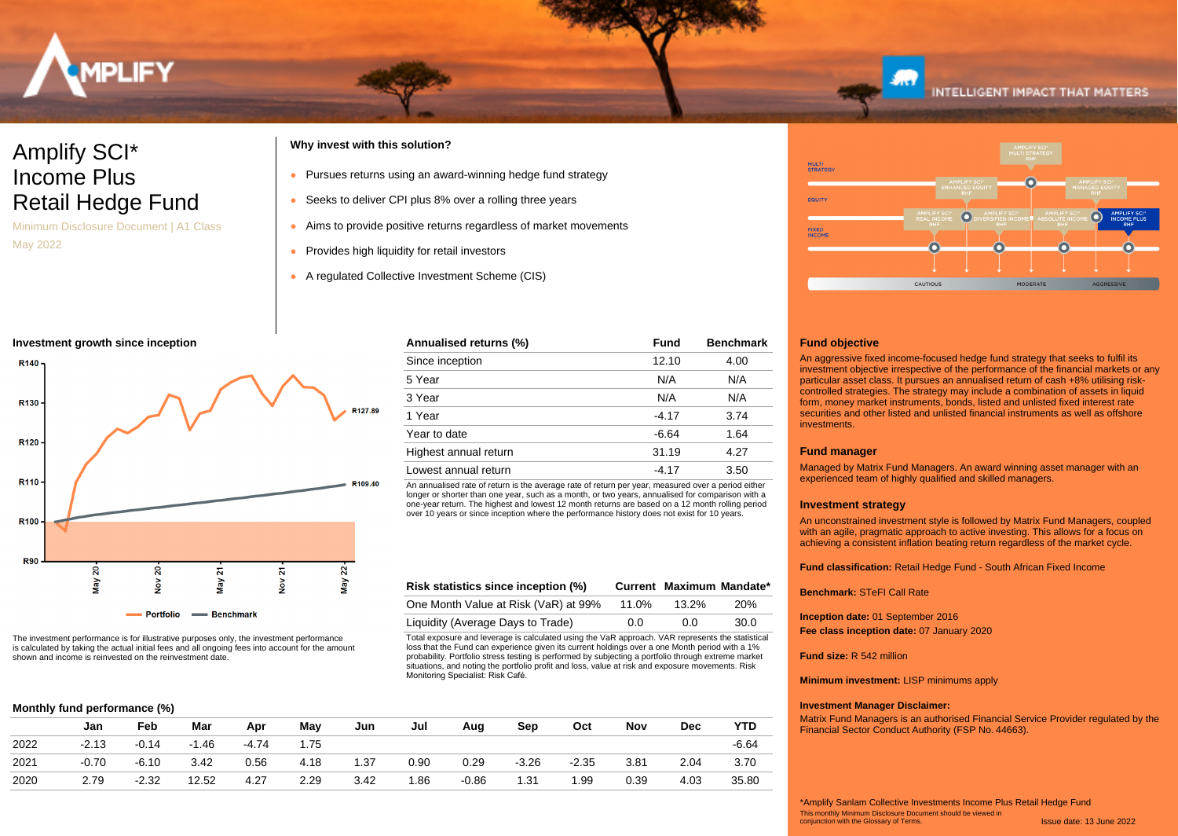

# Amplify SCI\* Income Plus Retail Hedge Fund

Minimum Disclosure Document | A1 Class May 2022

# **Why invest with this solution?**

- Pursues returns using an award-winning hedge fund strategy
- Seeks to deliver CPI plus 8% over a rolling three years
- Aims to provide positive returns regardless of market movements

Total exposure and leverage is calculated using the VaR approach. VAR represents the statistical loss that the Fund can experience given its current holdings over a one Month period with a 1% probability. Portfolio stress testing is performed by subjecting a portfolio through extreme market situations, and noting the portfolio profit and loss, value at risk and exposure movements. Risk

**Risk statistics since inception (%) Current Maximum Mandate\*** One Month Value at Risk (VaR) at 99% 11.0% 13.2% 20% Liquidity (Average Days to Trade)  $0.0$  0.0 30.0

An annualised rate of return is the average rate of return per year, measured over a period either longer or shorter than one year, such as a month, or two years, annualised for comparison with a one-year return. The highest and lowest 12 month returns are based on a 12 month rolling period over 10 years or since inception where the performance history does not exist for 10 years.

**Annualised returns (%) Fund Benchmark** Since inception 12.10 4.00 5 Year N/A N/A 3 Year N/A N/A 1 Year -4.17 3.74 Year to date  $-6.64$  1.64 Highest annual return 31.19 4.27 Lowest annual return  $-4.17$  3.50

- Provides high liquidity for retail investors
- A regulated Collective Investment Scheme (CIS)

### **Investment growth since inception**



The investment performance is for illustrative purposes only, the investment performance is calculated by taking the actual initial fees and all ongoing fees into account for the amount shown and income is reinvested on the reinvestment date.

|  |  | Monthly fund performance (%) |  |  |
|--|--|------------------------------|--|--|
|--|--|------------------------------|--|--|

|      | Jan     | Feb     | Mar     | Apr     | May  | Jun  | Jul  | Aug     | Sep     | Oct     | Nov  | <b>Dec</b> | YTD     |  |
|------|---------|---------|---------|---------|------|------|------|---------|---------|---------|------|------------|---------|--|
| 2022 | $-2.13$ | $-0.14$ | $-1.46$ | $-4.74$ | 1.75 |      |      |         |         |         |      |            | $-6.64$ |  |
| 2021 | -0.70   | $-6.10$ | 3.42    | 0.56    | 4.18 | 1.37 | 0.90 | 0.29    | $-3.26$ | $-2.35$ | 3.81 | 2.04       | 3.70    |  |
| 2020 | 2.79    | $-2.32$ | 12.52   | 4.27    | 2.29 | 3.42 | 1.86 | $-0.86$ | 1.31    | 1.99    | 0.39 | 4.03       | 35.80   |  |

Monitoring Specialist: Risk Café.



## **Fund objective**

An aggressive fixed income-focused hedge fund strategy that seeks to fulfil its investment objective irrespective of the performance of the financial markets or any particular asset class. It pursues an annualised return of cash +8% utilising riskcontrolled strategies. The strategy may include a combination of assets in liquid form, money market instruments, bonds, listed and unlisted fixed interest rate securities and other listed and unlisted financial instruments as well as offshore **investments** 

### **Fund manager**

Managed by Matrix Fund Managers. An award winning asset manager with an experienced team of highly qualified and skilled managers.

### **Investment strategy**

An unconstrained investment style is followed by Matrix Fund Managers, coupled with an agile, pragmatic approach to active investing. This allows for a focus on achieving a consistent inflation beating return regardless of the market cycle.

**Fund classification:** Retail Hedge Fund - South African Fixed Income

**Benchmark:** STeFI Call Rate

**Inception date:** 01 September 2016 **Fee class inception date:** 07 January 2020

**Fund size:** R 542 million

**Minimum investment:** LISP minimums apply

## **Investment Manager Disclaimer:**

Matrix Fund Managers is an authorised Financial Service Provider regulated by the Financial Sector Conduct Authority (FSP No. 44663).

Issue date: 13 June 2022 This monthly Minimum Disclosure Document should be viewed in conjunction with the Glossary of Terms. \*Amplify Sanlam Collective Investments Income Plus Retail Hedge Fund

# **INTELLIGENT IMPACT THAT MATTERS**